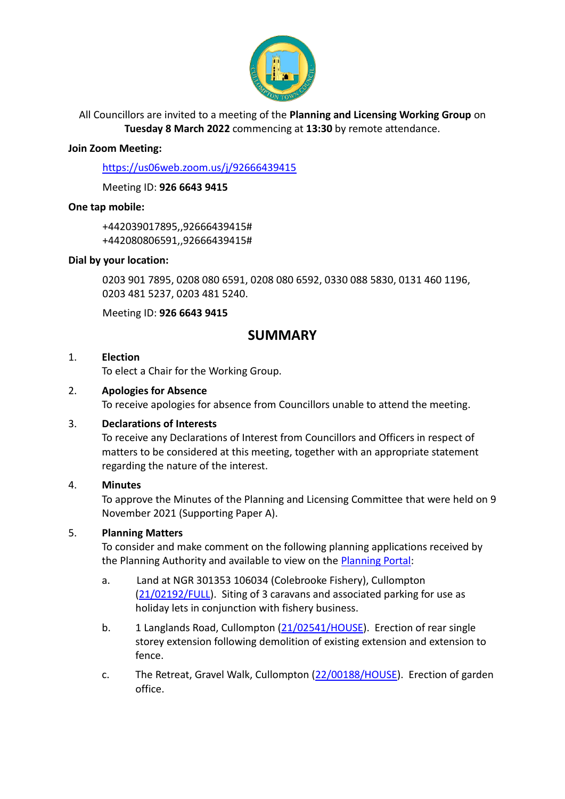

All Councillors are invited to a meeting of the **Planning and Licensing Working Group** on **Tuesday 8 March 2022** commencing at **13:30** by remote attendance.

#### **Join Zoom Meeting:**

<https://us06web.zoom.us/j/92666439415>

Meeting ID: **926 6643 9415**

## **One tap mobile:**

+442039017895,,92666439415# +442080806591,,92666439415#

## **Dial by your location:**

0203 901 7895, 0208 080 6591, 0208 080 6592, 0330 088 5830, 0131 460 1196, 0203 481 5237, 0203 481 5240.

Meeting ID: **926 6643 9415**

# **SUMMARY**

#### 1. **Election**

To elect a Chair for the Working Group.

## 2. **Apologies for Absence**

To receive apologies for absence from Councillors unable to attend the meeting.

#### 3. **Declarations of Interests**

To receive any Declarations of Interest from Councillors and Officers in respect of matters to be considered at this meeting, together with an appropriate statement regarding the nature of the interest.

# 4. **Minutes**

To approve the Minutes of the Planning and Licensing Committee that were held on 9 November 2021 (Supporting Paper A).

# 5. **Planning Matters**

To consider and make comment on the following planning applications received by the Planning Authority and available to view on the [Planning Portal:](https://planning.middevon.gov.uk/online-applications/)

- a. Land at NGR 301353 106034 (Colebrooke Fishery), Cullompton [\(21/02192/FULL\)](https://planning.middevon.gov.uk/online-applications/applicationDetails.do?activeTab=documents&keyVal=R28ZMZKS05K00). Siting of 3 caravans and associated parking for use as holiday lets in conjunction with fishery business.
- b. 1 Langlands Road, Cullompton [\(21/02541/HOUSE\)](https://planning.middevon.gov.uk/online-applications/applicationDetails.do?activeTab=documents&keyVal=R4F6CRKS0I100). Erection of rear single storey extension following demolition of existing extension and extension to fence.
- c. The Retreat, Gravel Walk, Cullompton [\(22/00188/HOUSE\)](https://planning.middevon.gov.uk/online-applications/applicationDetails.do?activeTab=documents&keyVal=R6D6NJKS07T00). Erection of garden office.